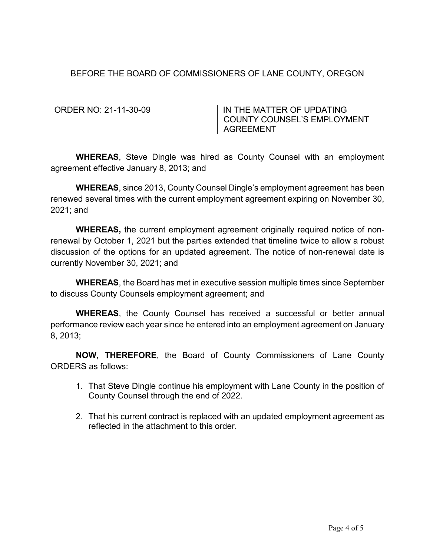# BEFORE THE BOARD OF COMMISSIONERS OF LANE COUNTY, OREGON

ORDER NO: 21-11-30-09 IN THE MATTER OF UPDATING COUNTY COUNSEL'S EMPLOYMENT AGREEMENT

**WHEREAS**, Steve Dingle was hired as County Counsel with an employment agreement effective January 8, 2013; and

**WHEREAS**, since 2013, County Counsel Dingle's employment agreement has been renewed several times with the current employment agreement expiring on November 30, 2021; and

**WHEREAS,** the current employment agreement originally required notice of nonrenewal by October 1, 2021 but the parties extended that timeline twice to allow a robust discussion of the options for an updated agreement. The notice of non-renewal date is currently November 30, 2021; and

**WHEREAS**, the Board has met in executive session multiple times since September to discuss County Counsels employment agreement; and

**WHEREAS**, the County Counsel has received a successful or better annual performance review each year since he entered into an employment agreement on January 8, 2013;

**NOW, THEREFORE**, the Board of County Commissioners of Lane County ORDERS as follows:

- 1. That Steve Dingle continue his employment with Lane County in the position of County Counsel through the end of 2022.
- 2. That his current contract is replaced with an updated employment agreement as reflected in the attachment to this order.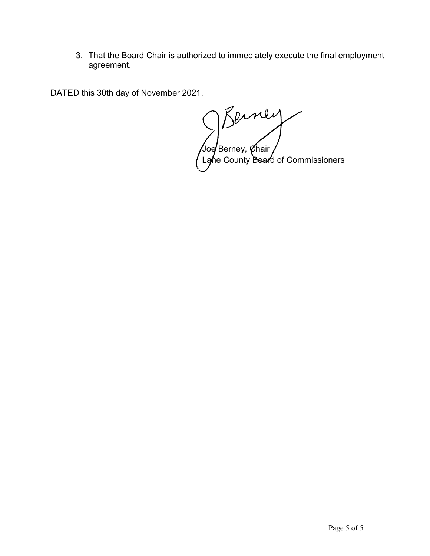3. That the Board Chair is authorized to immediately execute the final employment agreement.

DATED this 30th day of November 2021.

 $\mathcal{B}$ erney  $\sqrt{\sqrt{2}}$ Berney,  $\ell$ hair Lane County Board of Commissioners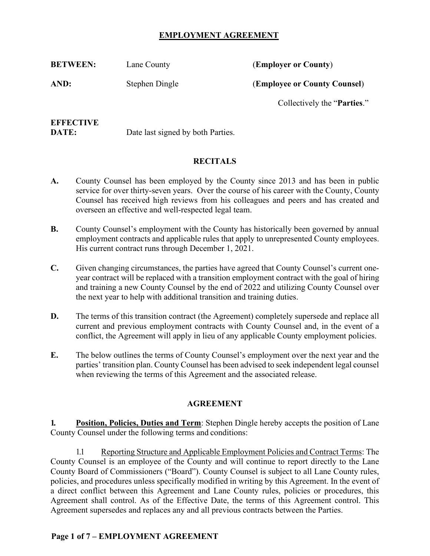# **EMPLOYMENT AGREEMENT**

| <b>BETWEEN:</b> | Lane County    | (Employer or County)                 |
|-----------------|----------------|--------------------------------------|
| AND:            | Stephen Dingle | (Employee or County Counsel)         |
|                 |                | Collectively the " <b>Parties.</b> " |
|                 |                |                                      |

# **EFFECTIVE**

**DATE:** Date last signed by both Parties.

# **RECITALS**

- **A.** County Counsel has been employed by the County since 2013 and has been in public service for over thirty-seven years. Over the course of his career with the County, County Counsel has received high reviews from his colleagues and peers and has created and overseen an effective and well-respected legal team.
- **B.** County Counsel's employment with the County has historically been governed by annual employment contracts and applicable rules that apply to unrepresented County employees. His current contract runs through December 1, 2021.
- **C.** Given changing circumstances, the parties have agreed that County Counsel's current oneyear contract will be replaced with a transition employment contract with the goal of hiring and training a new County Counsel by the end of 2022 and utilizing County Counsel over the next year to help with additional transition and training duties.
- **D.** The terms of this transition contract (the Agreement) completely supersede and replace all current and previous employment contracts with County Counsel and, in the event of a conflict, the Agreement will apply in lieu of any applicable County employment policies.
- **E.** The below outlines the terms of County Counsel's employment over the next year and the parties' transition plan. County Counsel has been advised to seek independent legal counsel when reviewing the terms of this Agreement and the associated release.

## **AGREEMENT**

**1. Position, Policies, Duties and Term**: Stephen Dingle hereby accepts the position of Lane County Counsel under the following terms and conditions:

1.1 Reporting Structure and Applicable Employment Policies and Contract Terms: The County Counsel is an employee of the County and will continue to report directly to the Lane County Board of Commissioners ("Board"). County Counsel is subject to all Lane County rules, policies, and procedures unless specifically modified in writing by this Agreement. In the event of a direct conflict between this Agreement and Lane County rules, policies or procedures, this Agreement shall control. As of the Effective Date, the terms of this Agreement control. This Agreement supersedes and replaces any and all previous contracts between the Parties.

## **Page 1 of 7 – EMPLOYMENT AGREEMENT**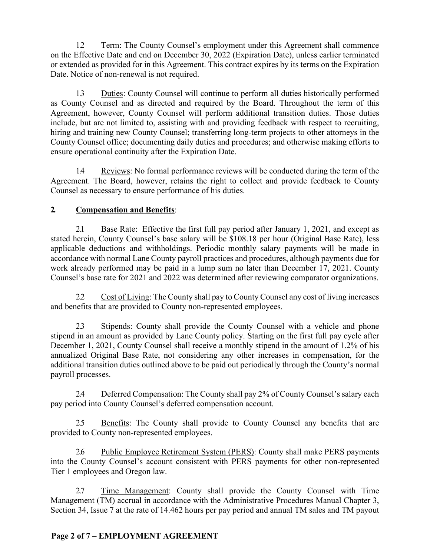1.2 Term: The County Counsel's employment under this Agreement shall commence on the Effective Date and end on December 30, 2022 (Expiration Date), unless earlier terminated or extended as provided for in this Agreement. This contract expires by its terms on the Expiration Date. Notice of non-renewal is not required.

1.3 Duties: County Counsel will continue to perform all duties historically performed as County Counsel and as directed and required by the Board. Throughout the term of this Agreement, however, County Counsel will perform additional transition duties. Those duties include, but are not limited to, assisting with and providing feedback with respect to recruiting, hiring and training new County Counsel; transferring long-term projects to other attorneys in the County Counsel office; documenting daily duties and procedures; and otherwise making efforts to ensure operational continuity after the Expiration Date.

1.4 Reviews: No formal performance reviews will be conducted during the term of the Agreement. The Board, however, retains the right to collect and provide feedback to County Counsel as necessary to ensure performance of his duties.

# **2. Compensation and Benefits**:

2.1 Base Rate: Effective the first full pay period after January 1, 2021, and except as stated herein, County Counsel's base salary will be \$108.18 per hour (Original Base Rate), less applicable deductions and withholdings. Periodic monthly salary payments will be made in accordance with normal Lane County payroll practices and procedures, although payments due for work already performed may be paid in a lump sum no later than December 17, 2021. County Counsel's base rate for 2021 and 2022 was determined after reviewing comparator organizations.

2.2 Cost of Living: The County shall pay to County Counsel any cost of living increases and benefits that are provided to County non-represented employees.

2.3 Stipends: County shall provide the County Counsel with a vehicle and phone stipend in an amount as provided by Lane County policy. Starting on the first full pay cycle after December 1, 2021, County Counsel shall receive a monthly stipend in the amount of 1.2% of his annualized Original Base Rate, not considering any other increases in compensation, for the additional transition duties outlined above to be paid out periodically through the County's normal payroll processes.

2.4 Deferred Compensation: The County shall pay 2% of County Counsel's salary each pay period into County Counsel's deferred compensation account.

2.5 Benefits: The County shall provide to County Counsel any benefits that are provided to County non-represented employees.

2.6 Public Employee Retirement System (PERS): County shall make PERS payments into the County Counsel's account consistent with PERS payments for other non-represented Tier 1 employees and Oregon law.

2.7 Time Management: County shall provide the County Counsel with Time Management (TM) accrual in accordance with the Administrative Procedures Manual Chapter 3, Section 34, Issue 7 at the rate of 14.462 hours per pay period and annual TM sales and TM payout

# **Page 2 of 7 – EMPLOYMENT AGREEMENT**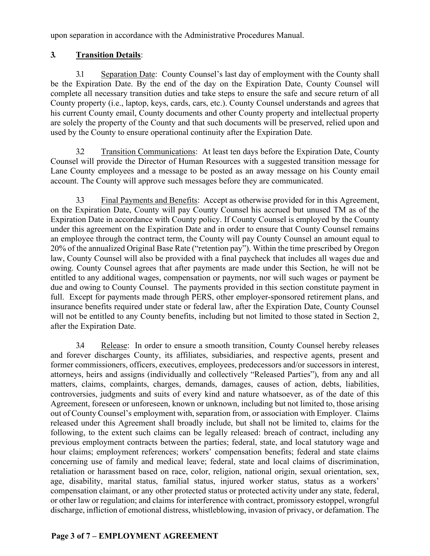upon separation in accordance with the Administrative Procedures Manual.

# **3. Transition Details**:

3.1 Separation Date: County Counsel's last day of employment with the County shall be the Expiration Date. By the end of the day on the Expiration Date, County Counsel will complete all necessary transition duties and take steps to ensure the safe and secure return of all County property (i.e., laptop, keys, cards, cars, etc.). County Counsel understands and agrees that his current County email, County documents and other County property and intellectual property are solely the property of the County and that such documents will be preserved, relied upon and used by the County to ensure operational continuity after the Expiration Date.

3.2 Transition Communications: At least ten days before the Expiration Date, County Counsel will provide the Director of Human Resources with a suggested transition message for Lane County employees and a message to be posted as an away message on his County email account. The County will approve such messages before they are communicated.

3.3 Final Payments and Benefits: Accept as otherwise provided for in this Agreement, on the Expiration Date, County will pay County Counsel his accrued but unused TM as of the Expiration Date in accordance with County policy. If County Counsel is employed by the County under this agreement on the Expiration Date and in order to ensure that County Counsel remains an employee through the contract term, the County will pay County Counsel an amount equal to 20% of the annualized Original Base Rate ("retention pay"). Within the time prescribed by Oregon law, County Counsel will also be provided with a final paycheck that includes all wages due and owing. County Counsel agrees that after payments are made under this Section, he will not be entitled to any additional wages, compensation or payments, nor will such wages or payment be due and owing to County Counsel. The payments provided in this section constitute payment in full. Except for payments made through PERS, other employer-sponsored retirement plans, and insurance benefits required under state or federal law, after the Expiration Date, County Counsel will not be entitled to any County benefits, including but not limited to those stated in Section 2, after the Expiration Date.

3.4 Release: In order to ensure a smooth transition, County Counsel hereby releases and forever discharges County, its affiliates, subsidiaries, and respective agents, present and former commissioners, officers, executives, employees, predecessors and/or successors in interest, attorneys, heirs and assigns (individually and collectively "Released Parties"), from any and all matters, claims, complaints, charges, demands, damages, causes of action, debts, liabilities, controversies, judgments and suits of every kind and nature whatsoever, as of the date of this Agreement, foreseen or unforeseen, known or unknown, including but not limited to, those arising out of County Counsel's employment with, separation from, or association with Employer. Claims released under this Agreement shall broadly include, but shall not be limited to, claims for the following, to the extent such claims can be legally released: breach of contract, including any previous employment contracts between the parties; federal, state, and local statutory wage and hour claims; employment references; workers' compensation benefits; federal and state claims concerning use of family and medical leave; federal, state and local claims of discrimination, retaliation or harassment based on race, color, religion, national origin, sexual orientation, sex, age, disability, marital status, familial status, injured worker status, status as a workers' compensation claimant, or any other protected status or protected activity under any state, federal, or other law or regulation; and claims for interference with contract, promissory estoppel, wrongful discharge, infliction of emotional distress, whistleblowing, invasion of privacy, or defamation. The

## **Page 3 of 7 – EMPLOYMENT AGREEMENT**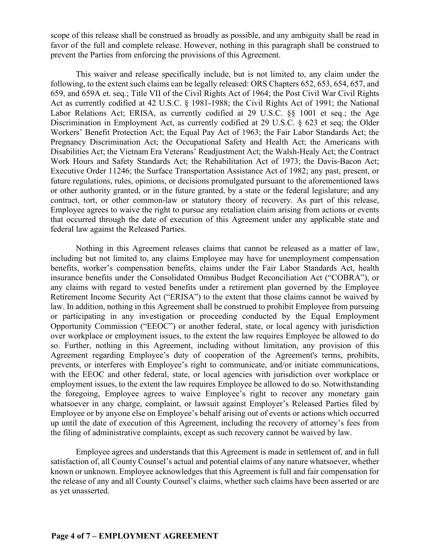scope of this release shall be construed as broadly as possible, and any ambiguity shall be read in favor of the full and complete release. However, nothing in this paragraph shall be construed to prevent the Parties from enforcing the provisions of this Agreement.

This waiver and release specifically include, but is not limited to, any claim under the following, to the extent such claims can be legally released: ORS Chapters 652, 653, 654, 657, and 659, and 659A et. seq.; Title VII of the Civil Rights Act of 1964; the Post Civil War Civil Rights Act as currently codified at 42 U.S.C. § 1981-1988; the Civil Rights Act of 1991; the National Labor Relations Act; ERISA, as currently codified at 29 U.S.C. §§ 1001 et seq.; the Age Discrimination in Employment Act, as currently codified at 29 U.S.C. § 623 et seq; the Older Workers' Benefit Protection Act; the Equal Pay Act of 1963; the Fair Labor Standards Act; the Pregnancy Discrimination Act; the Occupational Safety and Health Act; the Americans with Disabilities Act; the Vietnam Era Veterans' Readjustment Act; the Walsh-Healy Act; the Contract Work Hours and Safety Standards Act; the Rehabilitation Act of 1973; the Davis-Bacon Act; Executive Order 11246; the Surface Transportation Assistance Act of 1982; any past, present, or future regulations, rules, opinions, or decisions promulgated pursuant to the aforementioned laws or other authority granted, or in the future granted, by a state or the federal legislature; and any contract, tort, or other common-law or statutory theory of recovery. As part of this release, Employee agrees to waive the right to pursue any retaliation claim arising from actions or events that occurred through the date of execution of this Agreement under any applicable state and federal law against the Released Parties.

Nothing in this Agreement releases claims that cannot be released as a matter of law, including but not limited to, any claims Employee may have for unemployment compensation benefits, worker's compensation benefits, claims under the Fair Labor Standards Act, health insurance benefits under the Consolidated Omnibus Budget Reconciliation Act ("COBRA"), or any claims with regard to vested benefits under a retirement plan governed by the Employee Retirement Income Security Act ("ERISA") to the extent that those claims cannot be waived by law. In addition, nothing in this Agreement shall be construed to prohibit Employee from pursuing or participating in any investigation or proceeding conducted by the Equal Employment Opportunity Commission ("EEOC") or another federal, state, or local agency with jurisdiction over workplace or employment issues, to the extent the law requires Employee be allowed to do so. Further, nothing in this Agreement, including without limitation, any provision of this Agreement regarding Employee's duty of cooperation of the Agreement's terms, prohibits, prevents, or interferes with Employee's right to communicate, and/or initiate communications, with the EEOC and other federal, state, or local agencies with jurisdiction over workplace or employment issues, to the extent the law requires Employee be allowed to do so. Notwithstanding the foregoing, Employee agrees to waive Employee's right to recover any monetary gain whatsoever in any charge, complaint, or lawsuit against Employer's Released Parties filed by Employee or by anyone else on Employee's behalf arising out of events or actions which occurred up until the date of execution of this Agreement, including the recovery of attorney's fees from the filing of administrative complaints, except as such recovery cannot be waived by law.

Employee agrees and understands that this Agreement is made in settlement of, and in full satisfaction of, all County Counsel's actual and potential claims of any nature whatsoever, whether known or unknown. Employee acknowledges that this Agreement is full and fair compensation for the release of any and all County Counsel's claims, whether such claims have been asserted or are as yet unasserted.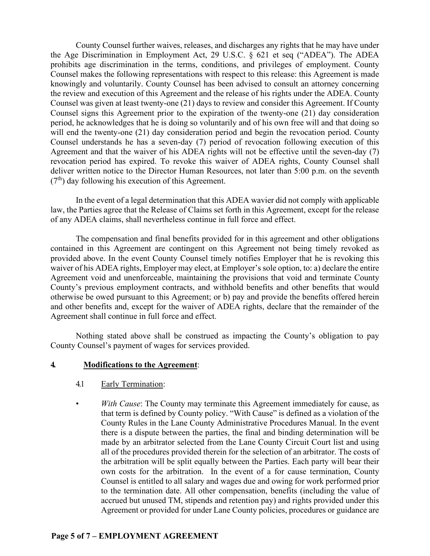County Counsel further waives, releases, and discharges any rights that he may have under the Age Discrimination in Employment Act, 29 U.S.C. § 621 et seq ("ADEA"). The ADEA prohibits age discrimination in the terms, conditions, and privileges of employment. County Counsel makes the following representations with respect to this release: this Agreement is made knowingly and voluntarily. County Counsel has been advised to consult an attorney concerning the review and execution of this Agreement and the release of his rights under the ADEA. County Counsel was given at least twenty-one (21) days to review and consider this Agreement. If County Counsel signs this Agreement prior to the expiration of the twenty-one (21) day consideration period, he acknowledges that he is doing so voluntarily and of his own free will and that doing so will end the twenty-one (21) day consideration period and begin the revocation period. County Counsel understands he has a seven-day (7) period of revocation following execution of this Agreement and that the waiver of his ADEA rights will not be effective until the seven-day (7) revocation period has expired. To revoke this waiver of ADEA rights, County Counsel shall deliver written notice to the Director Human Resources, not later than 5:00 p.m. on the seventh  $(7<sup>th</sup>)$  day following his execution of this Agreement.

In the event of a legal determination that this ADEA wavier did not comply with applicable law, the Parties agree that the Release of Claims set forth in this Agreement, except for the release of any ADEA claims, shall nevertheless continue in full force and effect.

The compensation and final benefits provided for in this agreement and other obligations contained in this Agreement are contingent on this Agreement not being timely revoked as provided above. In the event County Counsel timely notifies Employer that he is revoking this waiver of his ADEA rights, Employer may elect, at Employer's sole option, to: a) declare the entire Agreement void and unenforceable, maintaining the provisions that void and terminate County County's previous employment contracts, and withhold benefits and other benefits that would otherwise be owed pursuant to this Agreement; or b) pay and provide the benefits offered herein and other benefits and, except for the waiver of ADEA rights, declare that the remainder of the Agreement shall continue in full force and effect.

Nothing stated above shall be construed as impacting the County's obligation to pay County Counsel's payment of wages for services provided.

#### **4. Modifications to the Agreement**:

- 4.1 Early Termination:
- *With Cause*: The County may terminate this Agreement immediately for cause, as that term is defined by County policy. "With Cause" is defined as a violation of the County Rules in the Lane County Administrative Procedures Manual. In the event there is a dispute between the parties, the final and binding determination will be made by an arbitrator selected from the Lane County Circuit Court list and using all of the procedures provided therein for the selection of an arbitrator. The costs of the arbitration will be split equally between the Parties. Each party will bear their own costs for the arbitration. In the event of a for cause termination, County Counsel is entitled to all salary and wages due and owing for work performed prior to the termination date. All other compensation, benefits (including the value of accrued but unused TM, stipends and retention pay) and rights provided under this Agreement or provided for under Lane County policies, procedures or guidance are

#### **Page 5 of 7 – EMPLOYMENT AGREEMENT**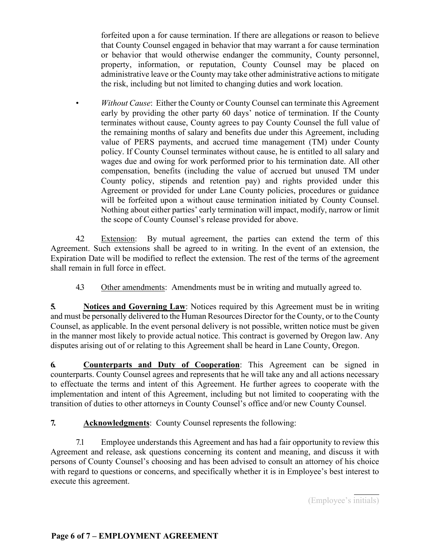forfeited upon a for cause termination. If there are allegations or reason to believe that County Counsel engaged in behavior that may warrant a for cause termination or behavior that would otherwise endanger the community, County personnel, property, information, or reputation, County Counsel may be placed on administrative leave or the County may take other administrative actions to mitigate the risk, including but not limited to changing duties and work location.

• *Without Cause*: Either the County or County Counsel can terminate this Agreement early by providing the other party 60 days' notice of termination. If the County terminates without cause, County agrees to pay County Counsel the full value of the remaining months of salary and benefits due under this Agreement, including value of PERS payments, and accrued time management (TM) under County policy. If County Counsel terminates without cause, he is entitled to all salary and wages due and owing for work performed prior to his termination date. All other compensation, benefits (including the value of accrued but unused TM under County policy, stipends and retention pay) and rights provided under this Agreement or provided for under Lane County policies, procedures or guidance will be forfeited upon a without cause termination initiated by County Counsel. Nothing about either parties' early termination will impact, modify, narrow or limit the scope of County Counsel's release provided for above.

4.2 Extension: By mutual agreement, the parties can extend the term of this Agreement. Such extensions shall be agreed to in writing. In the event of an extension, the Expiration Date will be modified to reflect the extension. The rest of the terms of the agreement shall remain in full force in effect.

4.3 Other amendments: Amendments must be in writing and mutually agreed to.

**5. Notices and Governing Law**: Notices required by this Agreement must be in writing and must be personally delivered to the Human Resources Director for the County, or to the County Counsel, as applicable. In the event personal delivery is not possible, written notice must be given in the manner most likely to provide actual notice. This contract is governed by Oregon law. Any disputes arising out of or relating to this Agreement shall be heard in Lane County, Oregon.

**6. Counterparts and Duty of Cooperation**: This Agreement can be signed in counterparts. County Counsel agrees and represents that he will take any and all actions necessary to effectuate the terms and intent of this Agreement. He further agrees to cooperate with the implementation and intent of this Agreement, including but not limited to cooperating with the transition of duties to other attorneys in County Counsel's office and/or new County Counsel.

**7. Acknowledgments**: County Counsel represents the following:

7.1 Employee understands this Agreement and has had a fair opportunity to review this Agreement and release, ask questions concerning its content and meaning, and discuss it with persons of County Counsel's choosing and has been advised to consult an attorney of his choice with regard to questions or concerns, and specifically whether it is in Employee's best interest to execute this agreement.

(Employee's initials)

 $\overline{a}$